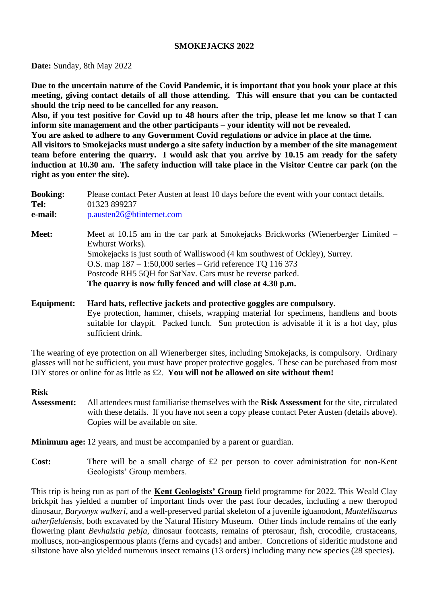## **SMOKEJACKS 2022**

**Date:** Sunday, 8th May 2022

**Due to the uncertain nature of the Covid Pandemic, it is important that you book your place at this meeting, giving contact details of all those attending. This will ensure that you can be contacted should the trip need to be cancelled for any reason.**

**Also, if you test positive for Covid up to 48 hours after the trip, please let me know so that I can inform site management and the other participants – your identity will not be revealed.**

**You are asked to adhere to any Government Covid regulations or advice in place at the time. All visitors to Smokejacks must undergo a site safety induction by a member of the site management team before entering the quarry. I would ask that you arrive by 10.15 am ready for the safety induction at 10.30 am. The safety induction will take place in the Visitor Centre car park (on the right as you enter the site).**

| <b>Booking:</b><br>Tel:<br>e-mail: | Please contact Peter Austen at least 10 days before the event with your contact details.<br>01323 899237<br>p.austen26@btinternet.com                                                                                                                                                                                                                                         |  |  |
|------------------------------------|-------------------------------------------------------------------------------------------------------------------------------------------------------------------------------------------------------------------------------------------------------------------------------------------------------------------------------------------------------------------------------|--|--|
| <b>Meet:</b>                       | Meet at 10.15 am in the car park at Smokejacks Brickworks (Wienerberger Limited –<br>Ewhurst Works).<br>Smokejacks is just south of Walliswood (4 km southwest of Ockley), Surrey.<br>O.S. map $187 - 1:50,000$ series – Grid reference TQ 116 373<br>Postcode RH5 5QH for SatNav. Cars must be reverse parked.<br>The quarry is now fully fenced and will close at 4.30 p.m. |  |  |
| <b>Equipment:</b>                  | Hard hats, reflective jackets and protective goggles are compulsory.<br>Eye protection hammer chisels wrapping material for specimens handlens and boots                                                                                                                                                                                                                      |  |  |

Eye protection, hammer, chisels, wrapping material for specimens, handlens and boots suitable for claypit. Packed lunch. Sun protection is advisable if it is a hot day, plus sufficient drink.

The wearing of eye protection on all Wienerberger sites, including Smokejacks, is compulsory. Ordinary glasses will not be sufficient, you must have proper protective goggles. These can be purchased from most DIY stores or online for as little as £2. **You will not be allowed on site without them!**

#### **Risk**

**Assessment:** All attendees must familiarise themselves with the **Risk Assessment** for the site, circulated with these details. If you have not seen a copy please contact Peter Austen (details above). Copies will be available on site.

**Minimum age:** 12 years, and must be accompanied by a parent or guardian.

Cost: There will be a small charge of £2 per person to cover administration for non-Kent Geologists' Group members.

This trip is being run as part of the **Kent Geologists' Group** field programme for 2022. This Weald Clay brickpit has yielded a number of important finds over the past four decades, including a new theropod dinosaur, *Baryonyx walkeri*, and a well-preserved partial skeleton of a juvenile iguanodont, *Mantellisaurus atherfieldensis*, both excavated by the Natural History Museum. Other finds include remains of the early flowering plant *Bevhalstia pebja*, dinosaur footcasts, remains of pterosaur, fish, crocodile, crustaceans, molluscs, non-angiospermous plants (ferns and cycads) and amber. Concretions of sideritic mudstone and siltstone have also yielded numerous insect remains (13 orders) including many new species (28 species).